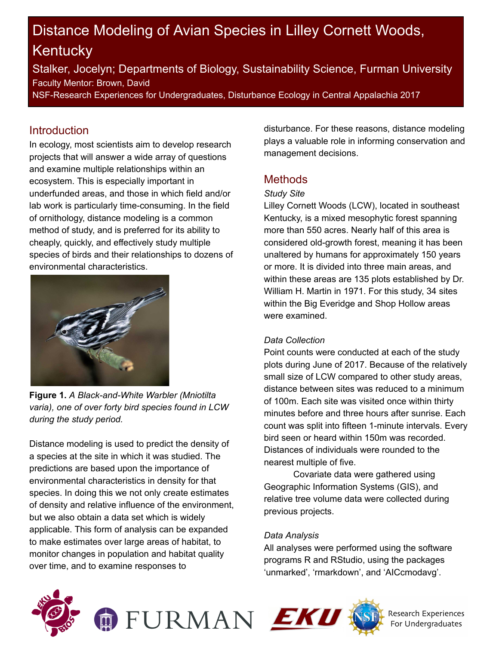# Distance Modeling of Avian Species in Lilley Cornett Woods, **Kentucky**

Stalker, Jocelyn; Departments of Biology, Sustainability Science, Furman University Faculty Mentor: Brown, David

NSF-Research Experiences for Undergraduates, Disturbance Ecology in Central Appalachia 2017

# **Introduction**

In ecology, most scientists aim to develop research projects that will answer a wide array of questions and examine multiple relationships within an ecosystem. This is especially important in underfunded areas, and those in which field and/or lab work is particularly time-consuming. In the field of ornithology, distance modeling is a common method of study, and is preferred for its ability to cheaply, quickly, and effectively study multiple species of birds and their relationships to dozens of environmental characteristics.



Figure 1. A Black-and-White Warbler (Mniotilta varia), one of over forty bird species found in LCW during the study period.

Distance modeling is used to predict the density of a species at the site in which it was studied. The predictions are based upon the importance of environmental characteristics in density for that species. In doing this we not only create estimates of density and relative influence of the environment, but we also obtain a data set which is widely applicable. This form of analysis can be expanded to make estimates over large areas of habitat, to monitor changes in population and habitat quality over time, and to examine responses to

disturbance. For these reasons, distance modeling plays a valuable role in informing conservation and management decisions.

# **Methods**

## Study Site

Lilley Cornett Woods (LCW), located in southeast Kentucky, is a mixed mesophytic forest spanning more than 550 acres. Nearly half of this area is considered old-growth forest, meaning it has been unaltered by humans for approximately 150 years or more. It is divided into three main areas, and within these areas are 135 plots established by Dr. William H. Martin in 1971. For this study, 34 sites within the Big Everidge and Shop Hollow areas were examined.

## Data Collection

Point counts were conducted at each of the study plots during June of 2017. Because of the relatively small size of LCW compared to other study areas, distance between sites was reduced to a minimum of 100m. Each site was visited once within thirty minutes before and three hours after sunrise. Each count was split into fifteen 1-minute intervals. Every bird seen or heard within 150m was recorded. Distances of individuals were rounded to the nearest multiple of five.

Covariate data were gathered using Geographic Information Systems (GIS), and relative tree volume data were collected during previous projects.

## Data Analysis

All analyses were performed using the software programs R and RStudio, using the packages 'unmarked', 'rmarkdown', and 'AICcmodavg'.